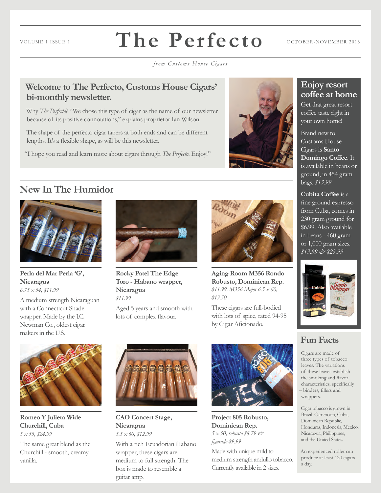### **The Perfecto** VOLUME 1 ISSUE 1  $\blacksquare$   $\blacksquare$   $\blacksquare$   $\blacksquare$   $\blacksquare$   $\blacksquare$   $\blacksquare$   $\blacksquare$   $\blacksquare$   $\blacksquare$   $\blacksquare$   $\blacksquare$   $\blacksquare$   $\blacksquare$   $\blacksquare$   $\blacksquare$   $\blacksquare$   $\blacksquare$   $\blacksquare$   $\blacksquare$   $\blacksquare$   $\blacksquare$   $\blacksquare$   $\blacksquare$   $\blacksquare$   $\blacksquare$   $\blacksquare$   $\blacksquare$   $\blacksquare$

*from Customs House Cigars*

#### **Welcome to The Perfecto, Customs House Cigars' bi-monthly newsletter.**

Why *The Perfecto*? "We chose this type of cigar as the name of our newsletter because of its positive connotations," explains proprietor Ian Wilson.

The shape of the perfecto cigar tapers at both ends and can be different lengths. It's a flexible shape, as will be this newsletter.

"I hope you read and learn more about cigars through *The Perfecto*. Enjoy!"



#### **Enjoy resort coffee at home**

Get that great resort coffee taste right in your own home!

Brand new to Customs House Cigars is **Santo Domingo Coffee**. It is available in beans or ground, in 454 gram bags. *\$13.99*

**Cubita Coffee** is a fine ground espresso from Cuba, comes in 230 gram ground for \$6.99. Also available in beans - 460 gram or 1,000 gram sizes. *\$13.99 & \$23.99*



### **Fun Facts**

Cigars are made of three types of tobacco leaves. The variations of these leaves establish the smoking and flavor characteristics, specifically – binders, fillers and wrappers.

Cigar tobacco is grown in Brazil, Cameroon, Cuba, Dominican Republic, Honduras, Indonesia, Mexico, Nicaragua, Philippines, and the United States.

An experienced roller can produce at least 120 cigars a day.

### **New In The Humidor**



**Perla del Mar Perla 'G', Nicaragua** *6.75 x 54, \$11.99*

A medium strength Nicaraguan with a Connecticut Shade wrapper. Made by the J.C. Newman Co., oldest cigar makers in the U.S.



**Rocky Patel The Edge Toro - Habano wrapper, Nicaragua** *\$11.99*

Aged 5 years and smooth with lots of complex flavour.



**Aging Room M356 Rondo Robusto, Dominican Rep.**  *\$11.99, M356 Major 6.5 x 60, \$13.50.* 

These cigars are full-bodied with lots of spice, rated 94-95 by Cigar Aficionado.



**Romeo Y Julieta Wide Churchill, Cuba** *5 x 55, \$24.99*

The same great blend as the Churchill - smooth, creamy vanilla.



#### **CAO Concert Stage, Nicaragua** *5.5 x 60, \$12.99*

With a rich Ecuadorian Habano wrapper, these cigars are medium to full strength. The box is made to resemble a guitar amp.



**Project 805 Robusto, Dominican Rep.** *5 x 50, robusto \$8.79 & figurado \$9.99*

Made with unique mild to medium strength andullo tobacco. Currently available in 2 sizes.